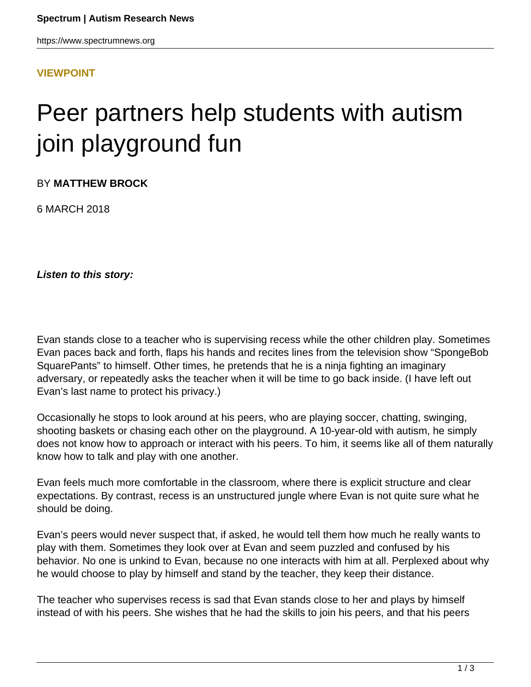https://www.spectrumnews.org

### **[VIEWPOINT](HTTPS://WWW.SPECTRUMNEWS.ORG/OPINION/VIEWPOINT/)**

# Peer partners help students with autism join playground fun

BY **MATTHEW BROCK**

6 MARCH 2018

**Listen to this story:**

Evan stands close to a teacher who is supervising recess while the other children play. Sometimes Evan paces back and forth, flaps his hands and recites lines from the television show "SpongeBob SquarePants" to himself. Other times, he pretends that he is a ninja fighting an imaginary adversary, or repeatedly asks the teacher when it will be time to go back inside. (I have left out Evan's last name to protect his privacy.)

Occasionally he stops to look around at his peers, who are playing soccer, chatting, swinging, shooting baskets or chasing each other on the playground. A 10-year-old with autism, he simply does not know how to approach or interact with his peers. To him, it seems like all of them naturally know how to talk and play with one another.

Evan feels much more comfortable in the classroom, where there is explicit structure and clear expectations. By contrast, recess is an unstructured jungle where Evan is not quite sure what he should be doing.

Evan's peers would never suspect that, if asked, he would tell them how much he really wants to play with them. Sometimes they look over at Evan and seem puzzled and confused by his behavior. No one is unkind to Evan, because no one interacts with him at all. Perplexed about why he would choose to play by himself and stand by the teacher, they keep their distance.

The teacher who supervises recess is sad that Evan stands close to her and plays by himself instead of with his peers. She wishes that he had the skills to join his peers, and that his peers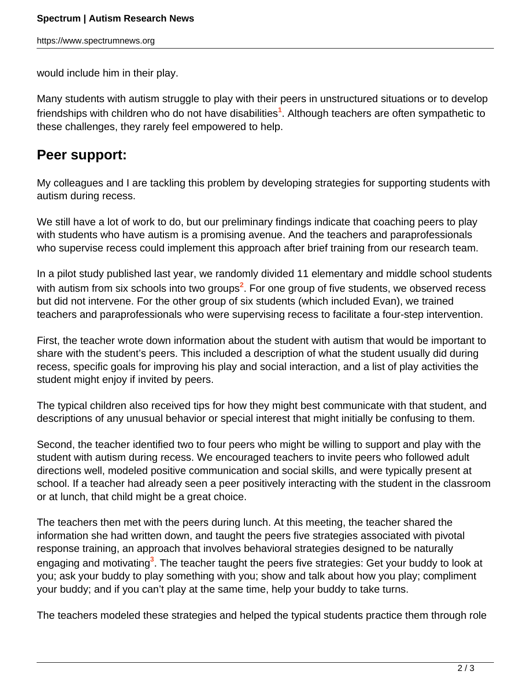would include him in their play.

Many students with autism struggle to play with their peers in unstructured situations or to develop friendships with children who do not have disabilities**<sup>1</sup>** . Although teachers are often sympathetic to these challenges, they rarely feel empowered to help.

## **Peer support:**

My colleagues and I are tackling this problem by developing strategies for supporting students with autism during recess.

We still have a lot of work to do, but our preliminary findings indicate that coaching peers to play with students who have autism is a promising avenue. And the teachers and paraprofessionals who supervise recess could implement this approach after brief training from our research team.

In a pilot study published last year, we randomly divided 11 elementary and middle school students with autism from six schools into two groups**<sup>2</sup>** . For one group of five students, we observed recess but did not intervene. For the other group of six students (which included Evan), we trained teachers and paraprofessionals who were supervising recess to facilitate a four-step intervention.

First, the teacher wrote down information about the student with autism that would be important to share with the student's peers. This included a description of what the student usually did during recess, specific goals for improving his play and social interaction, and a list of play activities the student might enjoy if invited by peers.

The typical children also received tips for how they might best communicate with that student, and descriptions of any unusual behavior or special interest that might initially be confusing to them.

Second, the teacher identified two to four peers who might be willing to support and play with the student with autism during recess. We encouraged teachers to invite peers who followed adult directions well, modeled positive communication and social skills, and were typically present at school. If a teacher had already seen a peer positively interacting with the student in the classroom or at lunch, that child might be a great choice.

The teachers then met with the peers during lunch. At this meeting, the teacher shared the information she had written down, and taught the peers five strategies associated with pivotal response training, an approach that involves behavioral strategies designed to be naturally engaging and motivating**<sup>3</sup>** . The teacher taught the peers five strategies: Get your buddy to look at you; ask your buddy to play something with you; show and talk about how you play; compliment your buddy; and if you can't play at the same time, help your buddy to take turns.

The teachers modeled these strategies and helped the typical students practice them through role